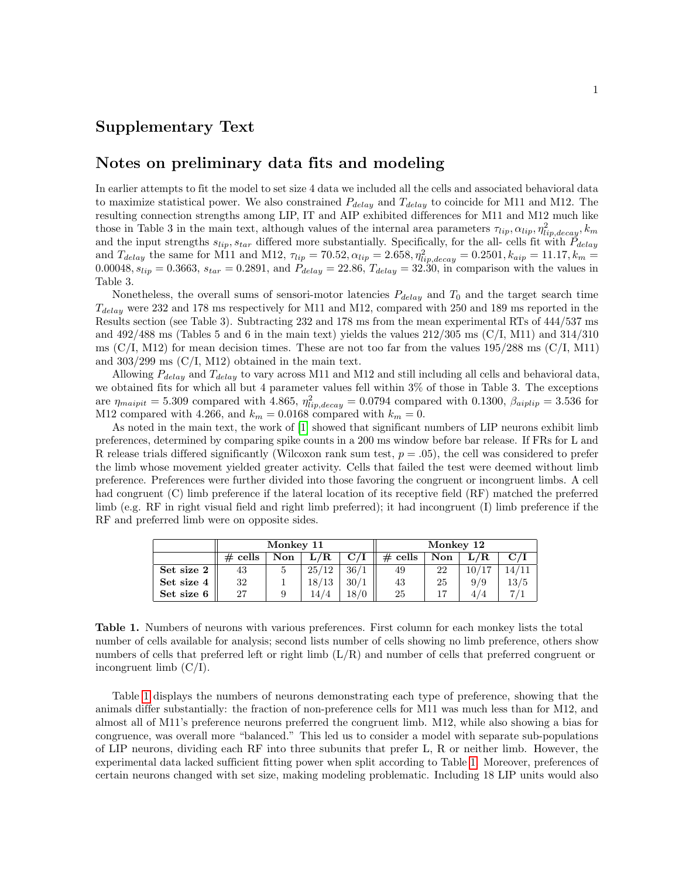## Supplementary Text

## Notes on preliminary data fits and modeling

In earlier attempts to fit the model to set size 4 data we included all the cells and associated behavioral data to maximize statistical power. We also constrained  $P_{delay}$  and  $T_{delay}$  to coincide for M11 and M12. The resulting connection strengths among LIP, IT and AIP exhibited differences for M11 and M12 much like those in Table 3 in the main text, although values of the internal area parameters  $\tau_{lip}$ ,  $\alpha_{lip}$ ,  $\eta_{lip,decay}^2$ ,  $k_m$ and the input strengths  $s_{lip}$ ,  $s_{tar}$  differed more substantially. Specifically, for the all- cells fit with  $\tilde{P}_{delay}$ and  $T_{delay}$  the same for M11 and M12,  $\tau_{lip} = 70.52, \alpha_{lip} = 2.658, \eta_{lip,decay}^2 = 0.2501, k_{aip} = 11.17, k_m =$ 0.00048,  $s_{lip} = 0.3663$ ,  $s_{tar} = 0.2891$ , and  $P_{delay} = 22.86$ ,  $T_{delay} = 32.30$ , in comparison with the values in Table 3.

Nonetheless, the overall sums of sensori-motor latencies  $P_{delay}$  and  $T_0$  and the target search time  $T_{delay}$  were 232 and 178 ms respectively for M11 and M12, compared with 250 and 189 ms reported in the Results section (see Table 3). Subtracting 232 and 178 ms from the mean experimental RTs of 444/537 ms and  $492/488$  ms (Tables 5 and 6 in the main text) yields the values  $212/305$  ms (C/I, M11) and  $314/310$ ms  $(C/I, M12)$  for mean decision times. These are not too far from the values 195/288 ms  $(C/I, M11)$ and  $303/299$  ms  $(C/I, M12)$  obtained in the main text.

Allowing  $P_{delay}$  and  $T_{delay}$  to vary across M11 and M12 and still including all cells and behavioral data, we obtained fits for which all but 4 parameter values fell within 3% of those in Table 3. The exceptions are  $\eta_{\text{major}} = 5.309$  compared with 4.865,  $\eta_{\text{lip,decay}}^2 = 0.0794$  compared with 0.1300,  $\beta_{\text{aiplip}} = 3.536$  for M12 compared with 4.266, and  $k_m = 0.0168$  compared with  $k_m = 0$ .

As noted in the main text, the work of [\[1\]](#page-1-0) showed that significant numbers of LIP neurons exhibit limb preferences, determined by comparing spike counts in a 200 ms window before bar release. If FRs for L and R release trials differed significantly (Wilcoxon rank sum test,  $p = .05$ ), the cell was considered to prefer the limb whose movement yielded greater activity. Cells that failed the test were deemed without limb preference. Preferences were further divided into those favoring the congruent or incongruent limbs. A cell had congruent (C) limb preference if the lateral location of its receptive field (RF) matched the preferred limb (e.g. RF in right visual field and right limb preferred); it had incongruent (I) limb preference if the RF and preferred limb were on opposite sides.

<span id="page-0-0"></span>

|            | Monkey 11  |     |           |                         | Monkey 12 |     |       |             |
|------------|------------|-----|-----------|-------------------------|-----------|-----|-------|-------------|
|            | cells<br># | Non | $\rm L/R$ | $\mathbf{C}/\mathbf{I}$ | $#$ cells | Non | L/R.  | $\rm C$ / ] |
| Set size 2 | 43         | 5.  | 25/12     | 36/1                    | 49        | 22  | 10/17 | 14/11       |
| Set size 4 | 32         |     | 18/13     | 30/1                    | 43        | 25  | 9/9   | 13/5        |
| Set size 6 | 27         |     | 14/4      | 18/0                    | 25        |     | 4/4   |             |

Table 1. Numbers of neurons with various preferences. First column for each monkey lists the total number of cells available for analysis; second lists number of cells showing no limb preference, others show numbers of cells that preferred left or right limb (L/R) and number of cells that preferred congruent or incongruent limb (C/I).

Table [1](#page-0-0) displays the numbers of neurons demonstrating each type of preference, showing that the animals differ substantially: the fraction of non-preference cells for M11 was much less than for M12, and almost all of M11's preference neurons preferred the congruent limb. M12, while also showing a bias for congruence, was overall more "balanced." This led us to consider a model with separate sub-populations of LIP neurons, dividing each RF into three subunits that prefer L, R or neither limb. However, the experimental data lacked sufficient fitting power when split according to Table [1.](#page-0-0) Moreover, preferences of certain neurons changed with set size, making modeling problematic. Including 18 LIP units would also